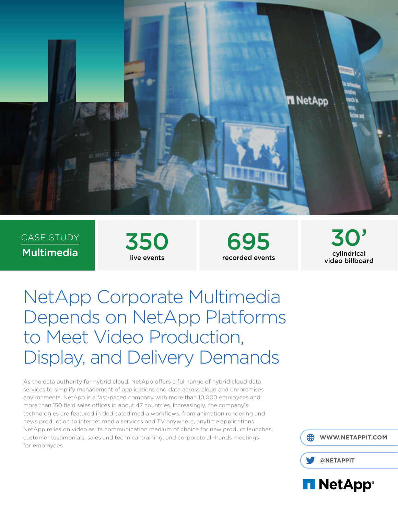

CASE STUDY  $\frac{\text{CASE STUDY}}{\text{Multimedia}}$  350



695 recorded events

30' cylindrical video billboard

NetApp Corporate Multimedia Depends on NetApp Platforms to Meet Video Production, Display, and Delivery Demands

As the data authority for hybrid cloud, NetApp offers a full range of hybrid cloud data services to simplify management of applications and data across cloud and on-premises environments. NetApp is a fast-paced company with more than 10,000 employees and more than 150 field sales offices in about 47 countries. Increasingly, the company's technologies are featured in dedicated media workflows, from animation rendering and news production to internet media services and TV anywhere, anytime applications. NetApp relies on video as its communication medium of choice for new product launches, customer testimonials, sales and technical training, and corporate all-hands meetings for employees.

 **[WWW.NETAPPIT.COM](http://www.netappit.com)**



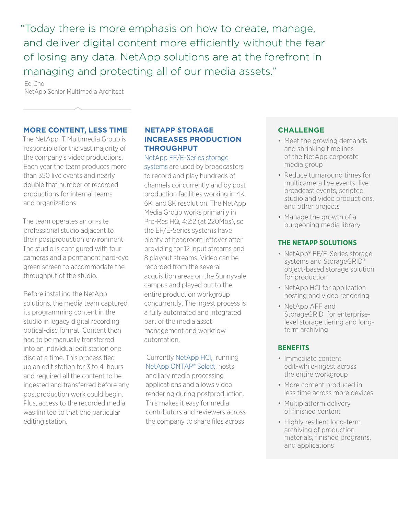"Today there is more emphasis on how to create, manage, and deliver digital content more efficiently without the fear of losing any data. NetApp solutions are at the forefront in managing and protecting all of our media assets."

Ed Cho NetApp Senior Multimedia Architect

#### **MORE CONTENT, LESS TIME**

The NetApp IT Multimedia Group is responsible for the vast majority of the company's video productions. Each year the team produces more than 350 live events and nearly double that number of recorded productions for internal teams and organizations.

The team operates an on-site professional studio adjacent to their postproduction environment. The studio is configured with four cameras and a permanent hard-cyc green screen to accommodate the throughput of the studio.

Before installing the NetApp solutions, the media team captured its programming content in the studio in legacy digital recording optical-disc format. Content then had to be manually transferred into an individual edit station one disc at a time. This process tied up an edit station for 3 to 4 hours and required all the content to be ingested and transferred before any postproduction work could begin. Plus, access to the recorded media was limited to that one particular editing station.

## **NETAPP STORAGE INCREASES PRODUCTION THROUGHPUT**

NetA[pp EF/E-Series storage](https://www.netapp.com/us/products/storage-systems/all-flash-array/ef-series.aspx)  [systems](https://www.netapp.com/us/products/storage-systems/all-flash-array/ef-series.aspx) are used by broadcasters to record and play hundreds of channels concurrently and by post production facilities working in 4K, 6K, and 8K resolution. The NetApp Media Group works primarily in Pro-Res HQ, 4:2:2 (at 220Mbs), so the EF/E-Series systems have plenty of headroom leftover after providing for 12 input streams and 8 playout streams. Video can be recorded [from the seve](https://www.netapp.com/us/products/converged-systems/hyper-converged-infrastructure.aspx)ral [acquisition areas on the](https://www.netapp.com/us/products/data-management-software/ontap-select-sds.aspx) Sunnyvale campus and played out to the entire production workgroup concurrently. The ingest process is a fully automated and integrated part of the media asset management and workflow automation.

Currently NetApp HCI, running NetApp ONTAP® Select, hosts ancillary media processing applications and allows video rendering during postproduction. This makes it easy for media contributors and reviewers across the company to share files across

# **CHALLENGE**

- Meet the growing demands and shrinking timelines of the NetApp corporate media group
- Reduce turnaround times for multicamera live events, live broadcast events, scripted studio and video productions, and other projects
- Manage the growth of a burgeoning media library

# **THE NETAPP SOLUTIONS**

- NetApp® EF/E-Series storage systems and StorageGRID® object-based storage solution for production
- NetApp HCI for application hosting and video rendering
- NetApp AFF and StorageGRID for enterpriselevel storage tiering and longterm archiving

# **BENEFITS**

- Immediate content edit-while-ingest across the entire workgroup
- More content produced in less time across more devices
- Multiplatform delivery of finished content
- Highly resilient long-term archiving of production materials, finished programs, and applications